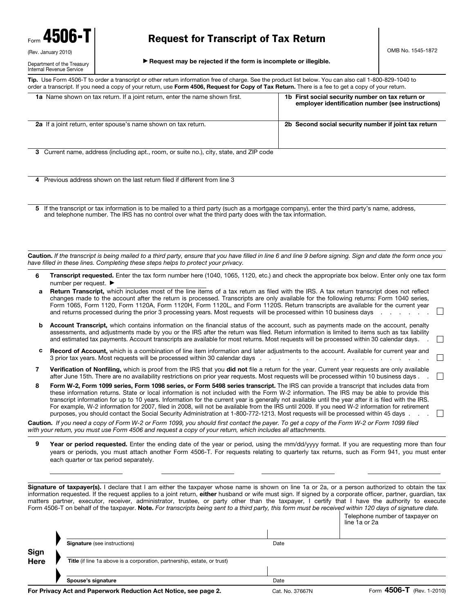#### Department of the Treasury Internal Revenue Service

## Request for Transcript of Tax Return

© **Request may be rejected if the form is incomplete or illegible.**

**Tip.** Use Form 4506-T to order a transcript or other return information free of charge. See the product list below. You can also call 1-800-829-1040 to order a transcript. If you need a copy of your return, use **Form 4506, Request for Copy of Tax Return.** There is a fee to get a copy of your return.

| 1a Name shown on tax return. If a joint return, enter the name shown first.                                                                                                                                                                              | 1b First social security number on tax return or<br>employer identification number (see instructions) |
|----------------------------------------------------------------------------------------------------------------------------------------------------------------------------------------------------------------------------------------------------------|-------------------------------------------------------------------------------------------------------|
| <b>2a</b> If a joint return, enter spouse's name shown on tax return.                                                                                                                                                                                    | 2b Second social security number if joint tax return                                                  |
| 3 Current name, address (including apt., room, or suite no.), city, state, and ZIP code                                                                                                                                                                  |                                                                                                       |
| 4 Previous address shown on the last return filed if different from line 3                                                                                                                                                                               |                                                                                                       |
| If the transcript or tax information is to be mailed to a third party (such as a mortgage company), enter the third party's name, address,<br>5<br>and telephone number. The IRS has no control over what the third party does with the tax information. |                                                                                                       |
| Caution. If the transcript is being mailed to a third party, ensure that you have filled in line 6 and line 9 before signing. Sign and date the form once you<br>have filled in these lines. Completing these steps helps to protect your privacy.       |                                                                                                       |

- **6 Transcript requested.** Enter the tax form number here (1040, 1065, 1120, etc.) and check the appropriate box below. Enter only one tax form number per request. ▶
- **a Return Transcript,** which includes most of the line items of a tax return as filed with the IRS. A tax return transcript does not reflect changes made to the account after the return is processed. Transcripts are only available for the following returns: Form 1040 series, Form 1065, Form 1120, Form 1120A, Form 1120H, Form 1120L, and Form 1120S. Return transcripts are available for the current year  $\Box$ and returns processed during the prior 3 processing years. Most requests will be processed within 10 business days . . . . . . . . . . .
- **b** Account Transcript, which contains information on the financial status of the account, such as payments made on the account, penalty assessments, and adjustments made by you or the IRS after the return was filed. Return information is limited to items such as tax liability and estimated tax payments. Account transcripts are available for most returns. Most requests will be processed within 30 calendar days. .
- **c Record of Account,** which is a combination of line item information and later adjustments to the account. Available for current year and 3 prior tax years. Most requests will be processed within 30 calendar days . . .  $\mathbb{R}^n$
- **7 Verification of Nonfiling,** which is proof from the IRS that you **did not** file a return for the year. Current year requests are only available after June 15th. There are no availability restrictions on prior year requests. Most requests will be processed within 10 business days . .
- **8 Form W-2, Form 1099 series, Form 1098 series, or Form 5498 series transcript.** The IRS can provide a transcript that includes data from these information returns. State or local information is not included with the Form W-2 information. The IRS may be able to provide this transcript information for up to 10 years. Information for the current year is generally not available until the year after it is filed with the IRS. For example, W-2 information for 2007, filed in 2008, will not be available from the IRS until 2009. If you need W-2 information for retirement purposes, you should contact the Social Security Administration at 1-800-772-1213. Most requests will be processed within 45 days . . .  $\Box$

**Caution.** *If you need a copy of Form W-2 or Form 1099, you should first contact the payer. To get a copy of the Form W-2 or Form 1099 filed with your return, you must use Form 4506 and request a copy of your return, which includes all attachments.* 

**9 Year or period requested.** Enter the ending date of the year or period, using the mm/dd/yyyy format. If you are requesting more than four years or periods, you must attach another Form 4506-T. For requests relating to quarterly tax returns, such as Form 941, you must enter each quarter or tax period separately.

**Signature of taxpayer(s).** I declare that I am either the taxpayer whose name is shown on line 1a or 2a, or a person authorized to obtain the tax information requested. If the request applies to a joint return, **either** husband or wife must sign. If signed by a corporate officer, partner, guardian, tax matters partner, executor, receiver, administrator, trustee, or party other than the taxpayer, I certify that I have the authority to execute Form 4506-T on behalf of the taxpayer. **Note.** *For transcripts being sent to a third party, this form must be received within 120 days of signature date.*

|              |                                                                          |      | $1 - \alpha -$                                   |
|--------------|--------------------------------------------------------------------------|------|--------------------------------------------------|
|              | Spouse's signature                                                       | Date |                                                  |
|              |                                                                          |      |                                                  |
| Sign<br>Here | Title (if line 1a above is a corporation, partnership, estate, or trust) |      |                                                  |
|              |                                                                          |      |                                                  |
|              | <b>Signature</b> (see instructions)                                      | Date |                                                  |
|              |                                                                          |      |                                                  |
|              |                                                                          |      | Telephone number of taxpayer on<br>line 1a or 2a |
|              |                                                                          |      |                                                  |